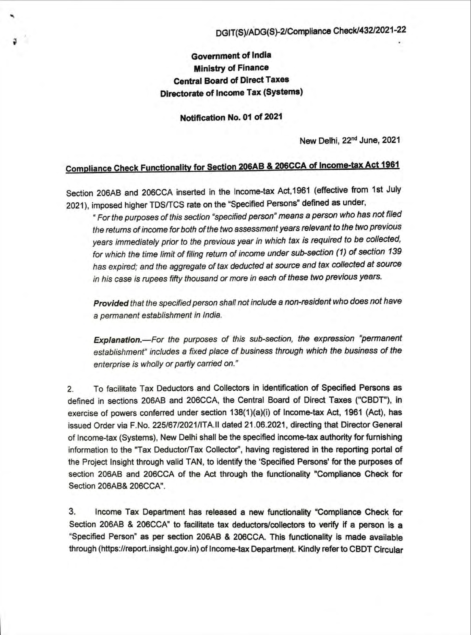## Government of India Ministry of Finance Central Board of Direct Taxes Directorate of Income Tax (Systems)

Notification No. 01 of 2021

New Delhi, 22nd June, 2021

## Compliance Check Functionalitv for Section 206AB & 206CCA of Income-tax Act 1961

Section 206AB and 206CCA inserted in the Income-tax Act,1961 (effective from 1st July 2021), imposed higher TDS/TCS rate on the "Specified Persons" defined as under,

• For the purposes of this section ' specified person" means a person who has not filed the retums of income for both of the two assessment years relevant to the two previous years immediately prior to the previous year in which tax is required to be collected, for which the time limit of filing retum of income under sub-section (1) of section 139 has expired; and the aggregate of tax deducted at source and tax collected at source in his case is rupees fifty thousand or more in each of these two previous years.

Provided that the specified person shall not include a non-resident who does not have a permanent establishment in India.

Explanation.-For the purposes of this sub-section, the expression "permanent establishment" includes a fixed place of business through which the business of the enterprise is wholly or partly carried on."

2. To facilitate Tax Deductors and Collectors in identification of Specified Persons as defined in sections 206AB and 206CCA, the Central Board of Direct Taxes ("CBDT"), in exercise of powers conferred under section 138(1)(a)(i) of Income-tax Act, 1961 (Act), has issued Order via F.No. 225/671202111TA.1I dated 21 .06.2021 , directing that Director General of Income-tax (Systems), New Delhi shall be the specified income-tax authority for furnishing information to the "Tax Deductor/Tax Collector", having registered in the reporting portal of the Project Insight through valid TAN, to identify the 'Specified Persons' for the purposes of section 206AB and 206CCA of the Act through the functionality "Compliance Check for Section 206AB& 206CCA".

3. Income Tax Department has released a new functionality ·Compliance Check for Section 206AB & 206CCA" to facilitate tax deductors/collectors to verify if a person is a "Specified Person" as per section 206AB & 206CCA. This functionality is made available through (https://report.insight.gov.in) of Income-tax Department. Kindly refer to CBDT Circular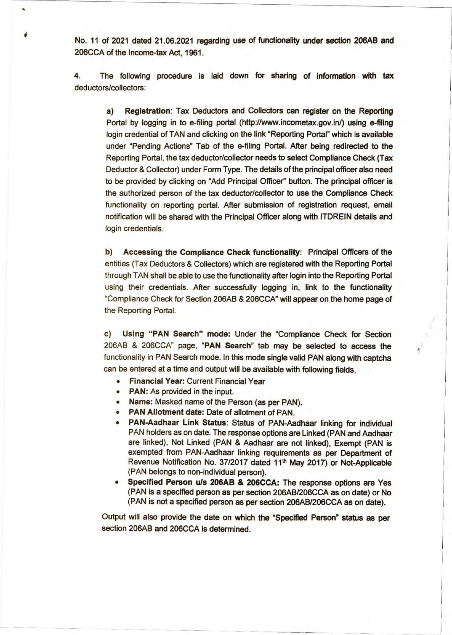No. 11 of 2021 dated 21.06.2021 regarding use of functionality under section 206AB and 206CCA of the Income-tax Act, 1961.

,

4. The following procedure is laid down for sharing of information with tax deductors/collectors:

a) Registration: Tax Deductors and Collectors can register on the Reporting Portal by logging in to e-filing portal (http://www.incometax.gov.in/) using e-filing login credential of TAN and clicking on the link "Reporting Portal" which is available under "Pending Actions" Tab of the e-filing Portal. After being redirected to the Reporting Portal, the tax deductor/collector needs to select Compliance Check (Tax Deductor & Collector) under Form Type. The details of the principal officer also need to be provided by clicking on "Add Principal Officer" button. The principal officer is the authorized person of the tax deductor/collector to use the Compliance Check functionality on reporting portal. After submission of registration request, email notification will be shared with the Principal Officer along with ITDREIN details and login credentials.

b) Accessing the Compliance Check functionality: Principal Officers of the entities (Tax Deductors & Collectors) which are registered with the Reporting Portal through TAN shall be able to use the functionality after login into the Reporting Portal using their credentials. After successfully logging in, link to the functionality "Compliance Check for Section 206AB & 206CCA" will appear on the home page of the Reporting Portal.

c) Using "PAN Search" mode: Under the "Compliance Check for Section 206AB & 206CCA" page, "PAN Search" tab may be selected to access the functionality in PAN Search mode. In this mode single valid PAN along with captcha can be entered at a time and output will be available with following fields,

- Financial Year: Current Financial Year
- PAN: As provided in the input.
- Name: Masked name of the Person (as per PAN).
- PAN Allotment date: Date of allotment of PAN.
- PAN-Aadhaar Link Status: Status of PAN-Aadhaar linking for individual PAN holders as on date. The response options are Linked (PAN and Aadhaar are linked), Not Linked (PAN & Aadhaar are not linked), Exempt (PAN is exempted from PAN-Aadhaar linking requirements as per Department of Revenue Notification No. 37/2017 dated 11<sup>th</sup> May 2017) or Not-Applicable (PAN belongs to non-individual person).
- Specified Person u/s 206AB & 206CCA: The response options are Yes (PAN is a specified person as per section 206ABI206CCA as on date) or No (PAN is not a specified person as per section 206AB/206CCA as on date).

I  $\vert$ 

I I

I I I

 $\mathbf{L}$ -,

Output will also provide the date on which the "Specified Person" status as per section 206AB and 206CCA is determined.